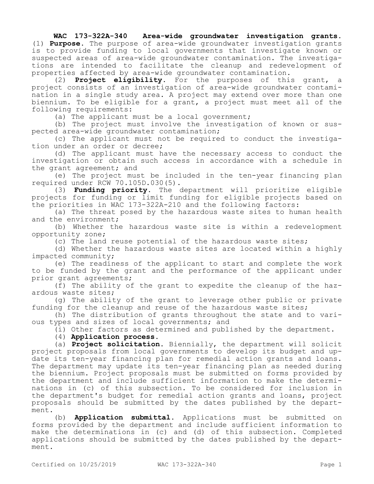## **WAC 173-322A-340 Area-wide groundwater investigation grants.**

(1) **Purpose.** The purpose of area-wide groundwater investigation grants is to provide funding to local governments that investigate known or suspected areas of area-wide groundwater contamination. The investigations are intended to facilitate the cleanup and redevelopment of properties affected by area-wide groundwater contamination.

(2) **Project eligibility.** For the purposes of this grant, a project consists of an investigation of area-wide groundwater contamination in a single study area. A project may extend over more than one biennium. To be eligible for a grant, a project must meet all of the following requirements:

(a) The applicant must be a local government;

(b) The project must involve the investigation of known or suspected area-wide groundwater contamination;

(c) The applicant must not be required to conduct the investigation under an order or decree;

(d) The applicant must have the necessary access to conduct the investigation or obtain such access in accordance with a schedule in the grant agreement; and

(e) The project must be included in the ten-year financing plan required under RCW 70.105D.030(5).

(3) **Funding priority.** The department will prioritize eligible projects for funding or limit funding for eligible projects based on the priorities in WAC 173-322A-210 and the following factors:

(a) The threat posed by the hazardous waste sites to human health and the environment;

(b) Whether the hazardous waste site is within a redevelopment opportunity zone;

(c) The land reuse potential of the hazardous waste sites;

(d) Whether the hazardous waste sites are located within a highly impacted community;

(e) The readiness of the applicant to start and complete the work to be funded by the grant and the performance of the applicant under prior grant agreements;

(f) The ability of the grant to expedite the cleanup of the hazardous waste sites;

(g) The ability of the grant to leverage other public or private funding for the cleanup and reuse of the hazardous waste sites;

(h) The distribution of grants throughout the state and to various types and sizes of local governments; and

(i) Other factors as determined and published by the department.

(4) **Application process.**

(a) **Project solicitation.** Biennially, the department will solicit project proposals from local governments to develop its budget and update its ten-year financing plan for remedial action grants and loans. The department may update its ten-year financing plan as needed during the biennium. Project proposals must be submitted on forms provided by the department and include sufficient information to make the determinations in (c) of this subsection. To be considered for inclusion in the department's budget for remedial action grants and loans, project proposals should be submitted by the dates published by the department.

(b) **Application submittal.** Applications must be submitted on forms provided by the department and include sufficient information to make the determinations in (c) and (d) of this subsection. Completed applications should be submitted by the dates published by the department.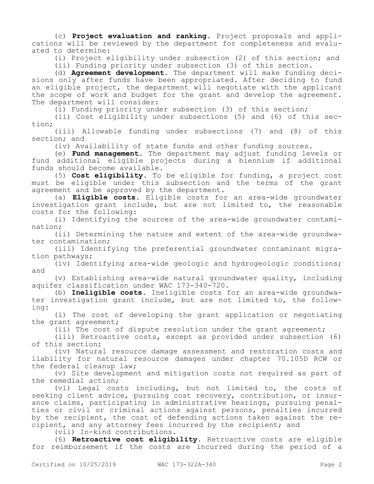(c) **Project evaluation and ranking.** Project proposals and applications will be reviewed by the department for completeness and evaluated to determine:

(i) Project eligibility under subsection (2) of this section; and

(ii) Funding priority under subsection (3) of this section.

(d) **Agreement development.** The department will make funding decisions only after funds have been appropriated. After deciding to fund an eligible project, the department will negotiate with the applicant the scope of work and budget for the grant and develop the agreement. The department will consider:

(i) Funding priority under subsection (3) of this section;

(ii) Cost eligibility under subsections (5) and (6) of this section;

(iii) Allowable funding under subsections (7) and (8) of this section; and

(iv) Availability of state funds and other funding sources.

(e) **Fund management.** The department may adjust funding levels or fund additional eligible projects during a biennium if additional funds should become available.

(5) **Cost eligibility.** To be eligible for funding, a project cost must be eligible under this subsection and the terms of the grant agreement and be approved by the department.

(a) **Eligible costs.** Eligible costs for an area-wide groundwater investigation grant include, but are not limited to, the reasonable costs for the following:

(i) Identifying the sources of the area-wide groundwater contamination;

(ii) Determining the nature and extent of the area-wide groundwater contamination;

(iii) Identifying the preferential groundwater contaminant migration pathways;

(iv) Identifying area-wide geologic and hydrogeologic conditions; and

(v) Establishing area-wide natural groundwater quality, including aquifer classification under WAC 173-340-720.

(b) **Ineligible costs.** Ineligible costs for an area-wide groundwater investigation grant include, but are not limited to, the following:

(i) The cost of developing the grant application or negotiating the grant agreement;

(ii) The cost of dispute resolution under the grant agreement;

(iii) Retroactive costs, except as provided under subsection (6) of this section;

(iv) Natural resource damage assessment and restoration costs and liability for natural resource damages under chapter 70.105D RCW or the federal cleanup law;

(v) Site development and mitigation costs not required as part of the remedial action;

(vi) Legal costs including, but not limited to, the costs of seeking client advice, pursuing cost recovery, contribution, or insurance claims, participating in administrative hearings, pursuing penalties or civil or criminal actions against persons, penalties incurred by the recipient, the cost of defending actions taken against the recipient, and any attorney fees incurred by the recipient; and

(vii) In-kind contributions.

(6) **Retroactive cost eligibility.** Retroactive costs are eligible for reimbursement if the costs are incurred during the period of a